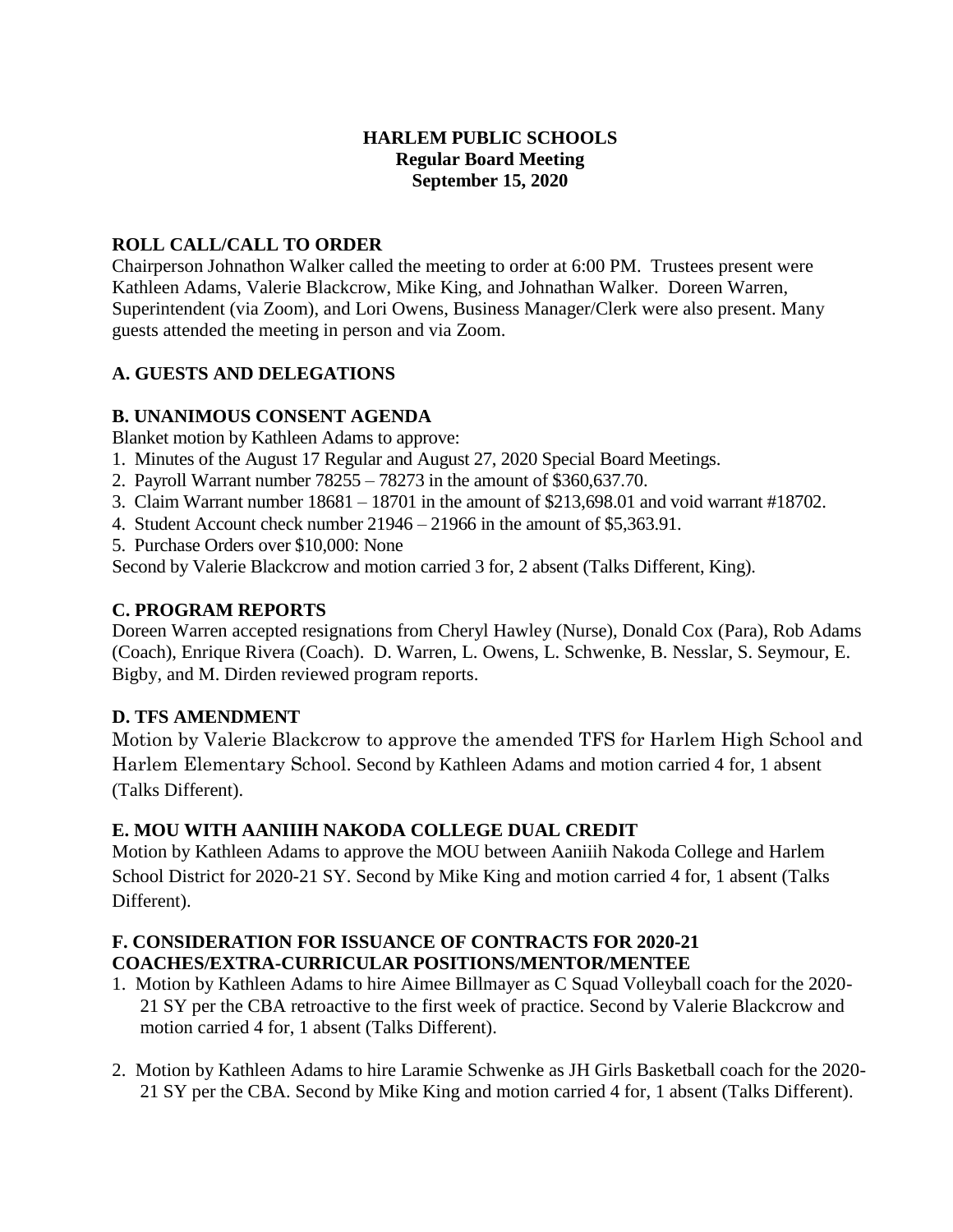### **HARLEM PUBLIC SCHOOLS Regular Board Meeting September 15, 2020**

## **ROLL CALL/CALL TO ORDER**

Chairperson Johnathon Walker called the meeting to order at 6:00 PM. Trustees present were Kathleen Adams, Valerie Blackcrow, Mike King, and Johnathan Walker. Doreen Warren, Superintendent (via Zoom), and Lori Owens, Business Manager/Clerk were also present. Many guests attended the meeting in person and via Zoom.

## **A. GUESTS AND DELEGATIONS**

### **B. UNANIMOUS CONSENT AGENDA**

Blanket motion by Kathleen Adams to approve:

- 1. Minutes of the August 17 Regular and August 27, 2020 Special Board Meetings.
- 2. Payroll Warrant number 78255 78273 in the amount of \$360,637.70.
- 3. Claim Warrant number 18681 18701 in the amount of \$213,698.01 and void warrant #18702.
- 4. Student Account check number 21946 21966 in the amount of \$5,363.91.
- 5. Purchase Orders over \$10,000: None

Second by Valerie Blackcrow and motion carried 3 for, 2 absent (Talks Different, King).

# **C. PROGRAM REPORTS**

Doreen Warren accepted resignations from Cheryl Hawley (Nurse), Donald Cox (Para), Rob Adams (Coach), Enrique Rivera (Coach). D. Warren, L. Owens, L. Schwenke, B. Nesslar, S. Seymour, E. Bigby, and M. Dirden reviewed program reports.

# **D. TFS AMENDMENT**

Motion by Valerie Blackcrow to approve the amended TFS for Harlem High School and Harlem Elementary School. Second by Kathleen Adams and motion carried 4 for, 1 absent (Talks Different).

### **E. MOU WITH AANIIIH NAKODA COLLEGE DUAL CREDIT**

Motion by Kathleen Adams to approve the MOU between Aaniiih Nakoda College and Harlem School District for 2020-21 SY. Second by Mike King and motion carried 4 for, 1 absent (Talks Different).

### **F. CONSIDERATION FOR ISSUANCE OF CONTRACTS FOR 2020-21 COACHES/EXTRA-CURRICULAR POSITIONS/MENTOR/MENTEE**

- 1. Motion by Kathleen Adams to hire Aimee Billmayer as C Squad Volleyball coach for the 2020- 21 SY per the CBA retroactive to the first week of practice. Second by Valerie Blackcrow and motion carried 4 for, 1 absent (Talks Different).
- 2. Motion by Kathleen Adams to hire Laramie Schwenke as JH Girls Basketball coach for the 2020- 21 SY per the CBA. Second by Mike King and motion carried 4 for, 1 absent (Talks Different).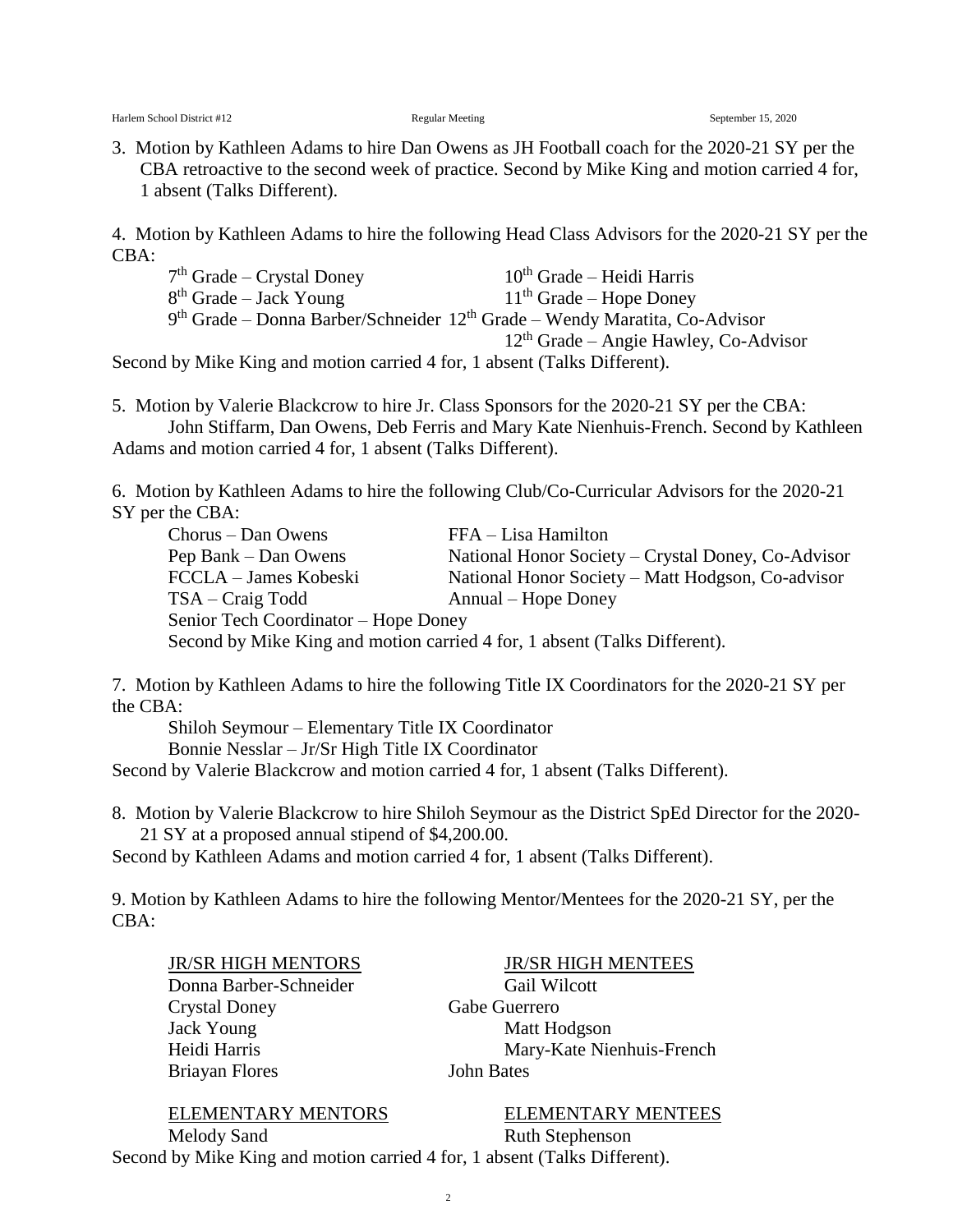3. Motion by Kathleen Adams to hire Dan Owens as JH Football coach for the 2020-21 SY per the CBA retroactive to the second week of practice. Second by Mike King and motion carried 4 for, 1 absent (Talks Different).

4. Motion by Kathleen Adams to hire the following Head Class Advisors for the 2020-21 SY per the CBA:

| $7th$ Grade – Crystal Doney                                                  | $10th$ Grade – Heidi Harris                                                    |
|------------------------------------------------------------------------------|--------------------------------------------------------------------------------|
| $8th$ Grade – Jack Young                                                     | $11th$ Grade – Hope Doney                                                      |
|                                                                              | $9th$ Grade – Donna Barber/Schneider $12th$ Grade – Wendy Maratita, Co-Advisor |
|                                                                              | $12th$ Grade – Angie Hawley, Co-Advisor                                        |
| $d$ by Mike King and motion carried $\Lambda$ for 1 absent (Talks Different) |                                                                                |

Second by Mike King and motion carried 4 for, 1 absent (Talks Different).

5. Motion by Valerie Blackcrow to hire Jr. Class Sponsors for the 2020-21 SY per the CBA: John Stiffarm, Dan Owens, Deb Ferris and Mary Kate Nienhuis-French. Second by Kathleen Adams and motion carried 4 for, 1 absent (Talks Different).

6. Motion by Kathleen Adams to hire the following Club/Co-Curricular Advisors for the 2020-21 SY per the CBA:

Chorus – Dan Owens FFA – Lisa Hamilton Pep Bank – Dan Owens National Honor Society – Crystal Doney, Co-Advisor FCCLA – James Kobeski National Honor Society – Matt Hodgson, Co-advisor TSA – Craig Todd Annual – Hope Doney Senior Tech Coordinator – Hope Doney Second by Mike King and motion carried 4 for, 1 absent (Talks Different).

7. Motion by Kathleen Adams to hire the following Title IX Coordinators for the 2020-21 SY per the CBA:

Shiloh Seymour – Elementary Title IX Coordinator

Bonnie Nesslar – Jr/Sr High Title IX Coordinator

Second by Valerie Blackcrow and motion carried 4 for, 1 absent (Talks Different).

8. Motion by Valerie Blackcrow to hire Shiloh Seymour as the District SpEd Director for the 2020- 21 SY at a proposed annual stipend of \$4,200.00.

Second by Kathleen Adams and motion carried 4 for, 1 absent (Talks Different).

9. Motion by Kathleen Adams to hire the following Mentor/Mentees for the 2020-21 SY, per the CBA:

Donna Barber-Schneider Gail Wilcott Crystal Doney Gabe Guerrero Jack Young Matt Hodgson Briayan Flores John Bates

JR/SR HIGH MENTORS JR/SR HIGH MENTEES Heidi Harris Mary-Kate Nienhuis-French

ELEMENTARY MENTORS ELEMENTARY MENTEES

Melody Sand Ruth Stephenson

Second by Mike King and motion carried 4 for, 1 absent (Talks Different).